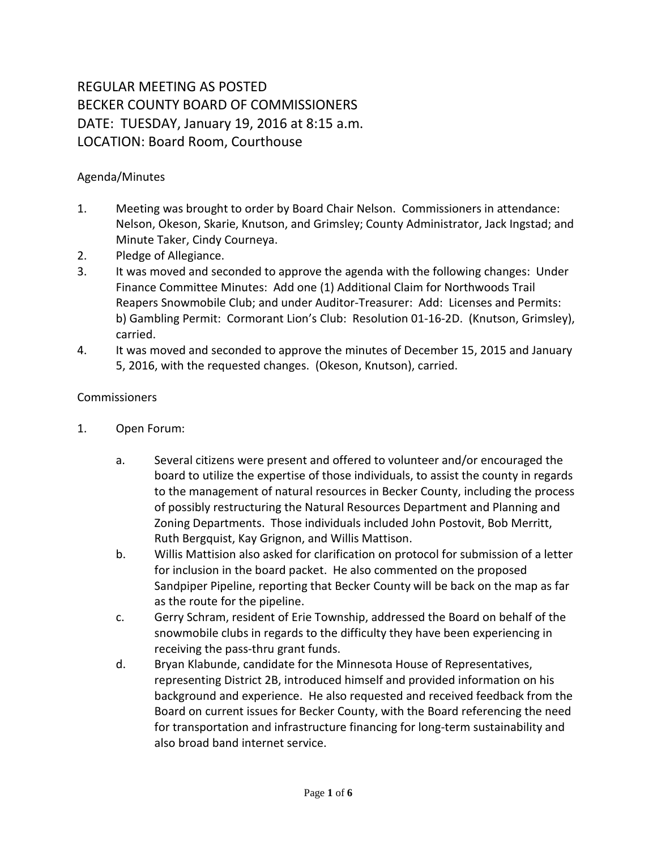## REGULAR MEETING AS POSTED BECKER COUNTY BOARD OF COMMISSIONERS DATE: TUESDAY, January 19, 2016 at 8:15 a.m. LOCATION: Board Room, Courthouse

## Agenda/Minutes

- 1. Meeting was brought to order by Board Chair Nelson. Commissioners in attendance: Nelson, Okeson, Skarie, Knutson, and Grimsley; County Administrator, Jack Ingstad; and Minute Taker, Cindy Courneya.
- 2. Pledge of Allegiance.
- 3. It was moved and seconded to approve the agenda with the following changes: Under Finance Committee Minutes: Add one (1) Additional Claim for Northwoods Trail Reapers Snowmobile Club; and under Auditor-Treasurer: Add: Licenses and Permits: b) Gambling Permit: Cormorant Lion's Club: Resolution 01-16-2D. (Knutson, Grimsley), carried.
- 4. It was moved and seconded to approve the minutes of December 15, 2015 and January 5, 2016, with the requested changes. (Okeson, Knutson), carried.

## **Commissioners**

- 1. Open Forum:
	- a. Several citizens were present and offered to volunteer and/or encouraged the board to utilize the expertise of those individuals, to assist the county in regards to the management of natural resources in Becker County, including the process of possibly restructuring the Natural Resources Department and Planning and Zoning Departments. Those individuals included John Postovit, Bob Merritt, Ruth Bergquist, Kay Grignon, and Willis Mattison.
	- b. Willis Mattision also asked for clarification on protocol for submission of a letter for inclusion in the board packet. He also commented on the proposed Sandpiper Pipeline, reporting that Becker County will be back on the map as far as the route for the pipeline.
	- c. Gerry Schram, resident of Erie Township, addressed the Board on behalf of the snowmobile clubs in regards to the difficulty they have been experiencing in receiving the pass-thru grant funds.
	- d. Bryan Klabunde, candidate for the Minnesota House of Representatives, representing District 2B, introduced himself and provided information on his background and experience. He also requested and received feedback from the Board on current issues for Becker County, with the Board referencing the need for transportation and infrastructure financing for long-term sustainability and also broad band internet service.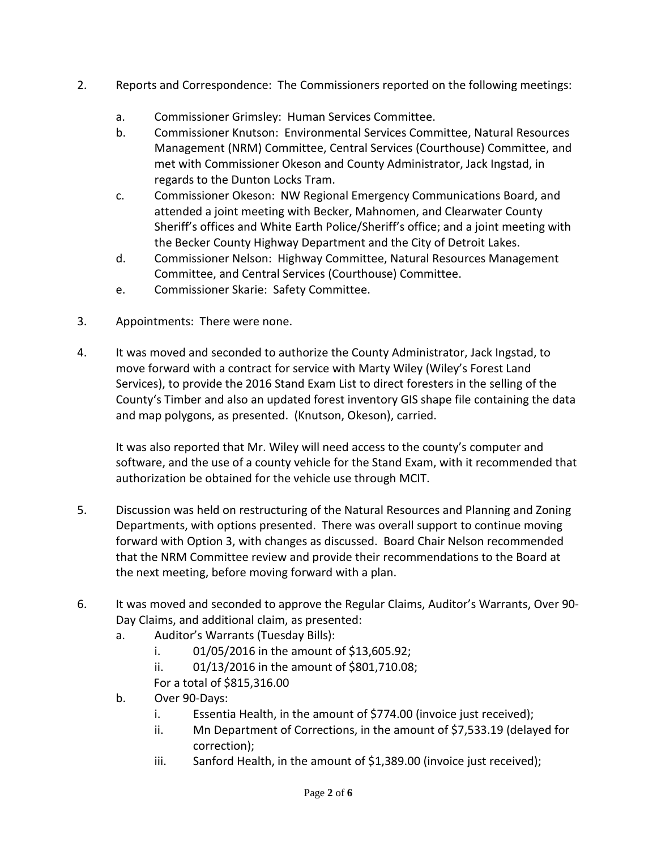- 2. Reports and Correspondence: The Commissioners reported on the following meetings:
	- a. Commissioner Grimsley: Human Services Committee.
	- b. Commissioner Knutson: Environmental Services Committee, Natural Resources Management (NRM) Committee, Central Services (Courthouse) Committee, and met with Commissioner Okeson and County Administrator, Jack Ingstad, in regards to the Dunton Locks Tram.
	- c. Commissioner Okeson: NW Regional Emergency Communications Board, and attended a joint meeting with Becker, Mahnomen, and Clearwater County Sheriff's offices and White Earth Police/Sheriff's office; and a joint meeting with the Becker County Highway Department and the City of Detroit Lakes.
	- d. Commissioner Nelson: Highway Committee, Natural Resources Management Committee, and Central Services (Courthouse) Committee.
	- e. Commissioner Skarie: Safety Committee.
- 3. Appointments: There were none.
- 4. It was moved and seconded to authorize the County Administrator, Jack Ingstad, to move forward with a contract for service with Marty Wiley (Wiley's Forest Land Services), to provide the 2016 Stand Exam List to direct foresters in the selling of the County's Timber and also an updated forest inventory GIS shape file containing the data and map polygons, as presented. (Knutson, Okeson), carried.

It was also reported that Mr. Wiley will need access to the county's computer and software, and the use of a county vehicle for the Stand Exam, with it recommended that authorization be obtained for the vehicle use through MCIT.

- 5. Discussion was held on restructuring of the Natural Resources and Planning and Zoning Departments, with options presented. There was overall support to continue moving forward with Option 3, with changes as discussed. Board Chair Nelson recommended that the NRM Committee review and provide their recommendations to the Board at the next meeting, before moving forward with a plan.
- 6. It was moved and seconded to approve the Regular Claims, Auditor's Warrants, Over 90- Day Claims, and additional claim, as presented:
	- a. Auditor's Warrants (Tuesday Bills):
		- i. 01/05/2016 in the amount of \$13,605.92;
		- ii. 01/13/2016 in the amount of \$801,710.08;
		- For a total of \$815,316.00
	- b. Over 90-Days:
		- i. Essentia Health, in the amount of \$774.00 (invoice just received);
		- ii. Mn Department of Corrections, in the amount of \$7,533.19 (delayed for correction);
		- iii. Sanford Health, in the amount of \$1,389.00 (invoice just received);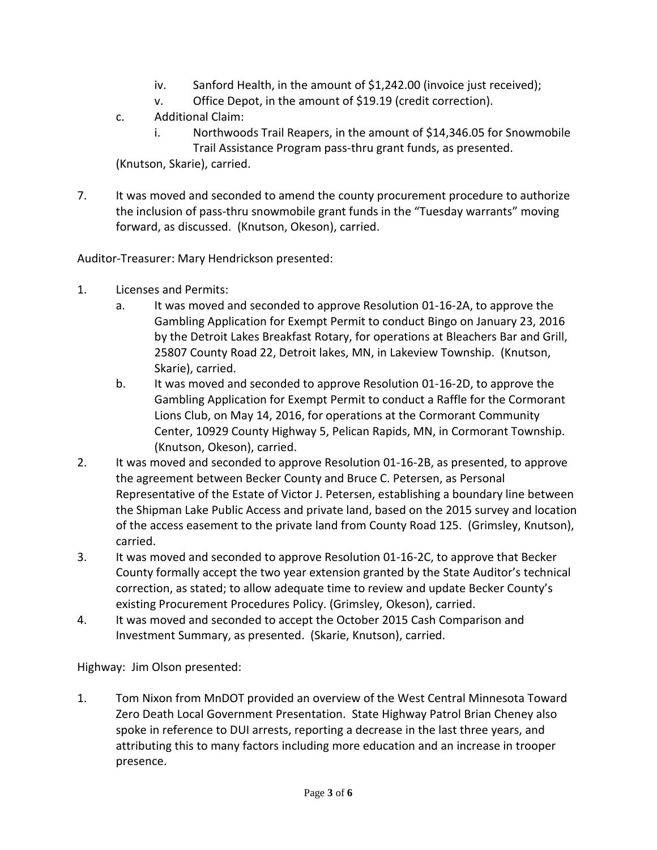- iv. Sanford Health, in the amount of \$1,242.00 (invoice just received);
- v. Office Depot, in the amount of \$19.19 (credit correction).
- c. Additional Claim:
	- i. Northwoods Trail Reapers, in the amount of \$14,346.05 for Snowmobile Trail Assistance Program pass-thru grant funds, as presented.

(Knutson, Skarie), carried.

7. It was moved and seconded to amend the county procurement procedure to authorize the inclusion of pass-thru snowmobile grant funds in the "Tuesday warrants" moving forward, as discussed. (Knutson, Okeson), carried.

Auditor-Treasurer: Mary Hendrickson presented:

- 1. Licenses and Permits:
	- a. It was moved and seconded to approve Resolution 01-16-2A, to approve the Gambling Application for Exempt Permit to conduct Bingo on January 23, 2016 by the Detroit Lakes Breakfast Rotary, for operations at Bleachers Bar and Grill, 25807 County Road 22, Detroit lakes, MN, in Lakeview Township. (Knutson, Skarie), carried.
	- b. It was moved and seconded to approve Resolution 01-16-2D, to approve the Gambling Application for Exempt Permit to conduct a Raffle for the Cormorant Lions Club, on May 14, 2016, for operations at the Cormorant Community Center, 10929 County Highway 5, Pelican Rapids, MN, in Cormorant Township. (Knutson, Okeson), carried.
- 2. It was moved and seconded to approve Resolution 01-16-2B, as presented, to approve the agreement between Becker County and Bruce C. Petersen, as Personal Representative of the Estate of Victor J. Petersen, establishing a boundary line between the Shipman Lake Public Access and private land, based on the 2015 survey and location of the access easement to the private land from County Road 125. (Grimsley, Knutson), carried.
- 3. It was moved and seconded to approve Resolution 01-16-2C, to approve that Becker County formally accept the two year extension granted by the State Auditor's technical correction, as stated; to allow adequate time to review and update Becker County's existing Procurement Procedures Policy. (Grimsley, Okeson), carried.
- 4. It was moved and seconded to accept the October 2015 Cash Comparison and Investment Summary, as presented. (Skarie, Knutson), carried.

Highway: Jim Olson presented:

1. Tom Nixon from MnDOT provided an overview of the West Central Minnesota Toward Zero Death Local Government Presentation. State Highway Patrol Brian Cheney also spoke in reference to DUI arrests, reporting a decrease in the last three years, and attributing this to many factors including more education and an increase in trooper presence.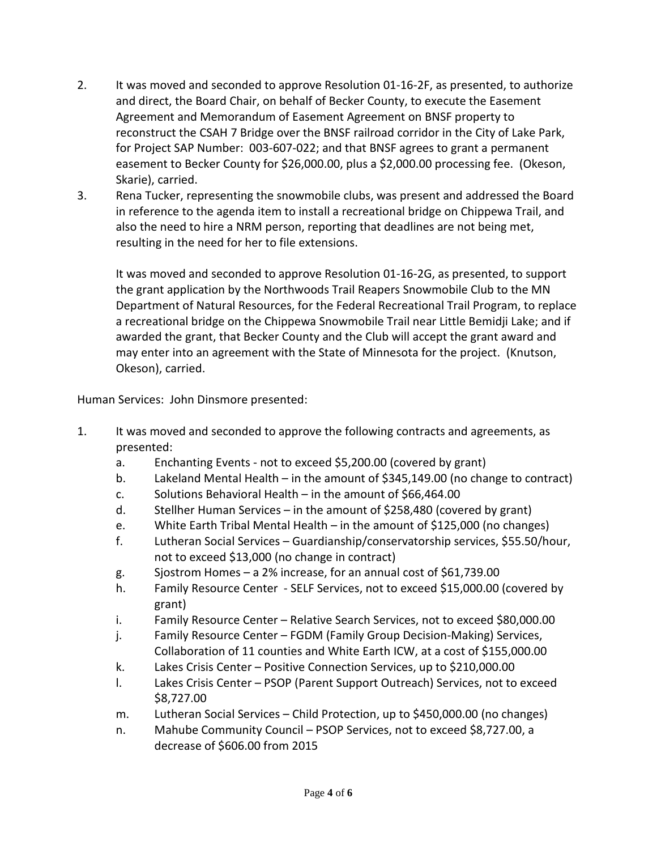- 2. It was moved and seconded to approve Resolution 01-16-2F, as presented, to authorize and direct, the Board Chair, on behalf of Becker County, to execute the Easement Agreement and Memorandum of Easement Agreement on BNSF property to reconstruct the CSAH 7 Bridge over the BNSF railroad corridor in the City of Lake Park, for Project SAP Number: 003-607-022; and that BNSF agrees to grant a permanent easement to Becker County for \$26,000.00, plus a \$2,000.00 processing fee. (Okeson, Skarie), carried.
- 3. Rena Tucker, representing the snowmobile clubs, was present and addressed the Board in reference to the agenda item to install a recreational bridge on Chippewa Trail, and also the need to hire a NRM person, reporting that deadlines are not being met, resulting in the need for her to file extensions.

 It was moved and seconded to approve Resolution 01-16-2G, as presented, to support the grant application by the Northwoods Trail Reapers Snowmobile Club to the MN Department of Natural Resources, for the Federal Recreational Trail Program, to replace a recreational bridge on the Chippewa Snowmobile Trail near Little Bemidji Lake; and if awarded the grant, that Becker County and the Club will accept the grant award and may enter into an agreement with the State of Minnesota for the project. (Knutson, Okeson), carried.

Human Services: John Dinsmore presented:

- 1. It was moved and seconded to approve the following contracts and agreements, as presented:
	- a. Enchanting Events not to exceed \$5,200.00 (covered by grant)
	- b. Lakeland Mental Health in the amount of \$345,149.00 (no change to contract)
	- c. Solutions Behavioral Health in the amount of \$66,464.00
	- d. Stellher Human Services in the amount of \$258,480 (covered by grant)
	- e. White Earth Tribal Mental Health in the amount of \$125,000 (no changes)
	- f. Lutheran Social Services Guardianship/conservatorship services, \$55.50/hour, not to exceed \$13,000 (no change in contract)
	- g. Sjostrom Homes a 2% increase, for an annual cost of \$61,739.00
	- h. Family Resource Center SELF Services, not to exceed \$15,000.00 (covered by grant)
	- i. Family Resource Center Relative Search Services, not to exceed \$80,000.00
	- j. Family Resource Center FGDM (Family Group Decision-Making) Services, Collaboration of 11 counties and White Earth ICW, at a cost of \$155,000.00
	- k. Lakes Crisis Center Positive Connection Services, up to \$210,000.00
	- l. Lakes Crisis Center PSOP (Parent Support Outreach) Services, not to exceed \$8,727.00
	- m. Lutheran Social Services Child Protection, up to \$450,000.00 (no changes)
	- n. Mahube Community Council PSOP Services, not to exceed \$8,727.00, a decrease of \$606.00 from 2015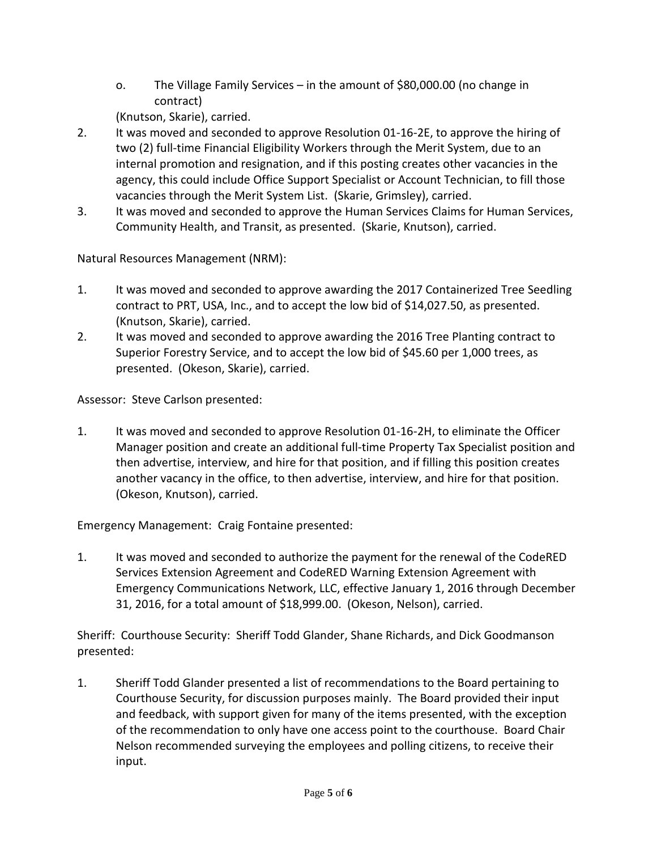o. The Village Family Services – in the amount of \$80,000.00 (no change in contract)

(Knutson, Skarie), carried.

- 2. It was moved and seconded to approve Resolution 01-16-2E, to approve the hiring of two (2) full-time Financial Eligibility Workers through the Merit System, due to an internal promotion and resignation, and if this posting creates other vacancies in the agency, this could include Office Support Specialist or Account Technician, to fill those vacancies through the Merit System List. (Skarie, Grimsley), carried.
- 3. It was moved and seconded to approve the Human Services Claims for Human Services, Community Health, and Transit, as presented. (Skarie, Knutson), carried.

Natural Resources Management (NRM):

- 1. It was moved and seconded to approve awarding the 2017 Containerized Tree Seedling contract to PRT, USA, Inc., and to accept the low bid of \$14,027.50, as presented. (Knutson, Skarie), carried.
- 2. It was moved and seconded to approve awarding the 2016 Tree Planting contract to Superior Forestry Service, and to accept the low bid of \$45.60 per 1,000 trees, as presented. (Okeson, Skarie), carried.

Assessor: Steve Carlson presented:

1. It was moved and seconded to approve Resolution 01-16-2H, to eliminate the Officer Manager position and create an additional full-time Property Tax Specialist position and then advertise, interview, and hire for that position, and if filling this position creates another vacancy in the office, to then advertise, interview, and hire for that position. (Okeson, Knutson), carried.

Emergency Management: Craig Fontaine presented:

1. It was moved and seconded to authorize the payment for the renewal of the CodeRED Services Extension Agreement and CodeRED Warning Extension Agreement with Emergency Communications Network, LLC, effective January 1, 2016 through December 31, 2016, for a total amount of \$18,999.00. (Okeson, Nelson), carried.

Sheriff: Courthouse Security: Sheriff Todd Glander, Shane Richards, and Dick Goodmanson presented:

1. Sheriff Todd Glander presented a list of recommendations to the Board pertaining to Courthouse Security, for discussion purposes mainly. The Board provided their input and feedback, with support given for many of the items presented, with the exception of the recommendation to only have one access point to the courthouse. Board Chair Nelson recommended surveying the employees and polling citizens, to receive their input.